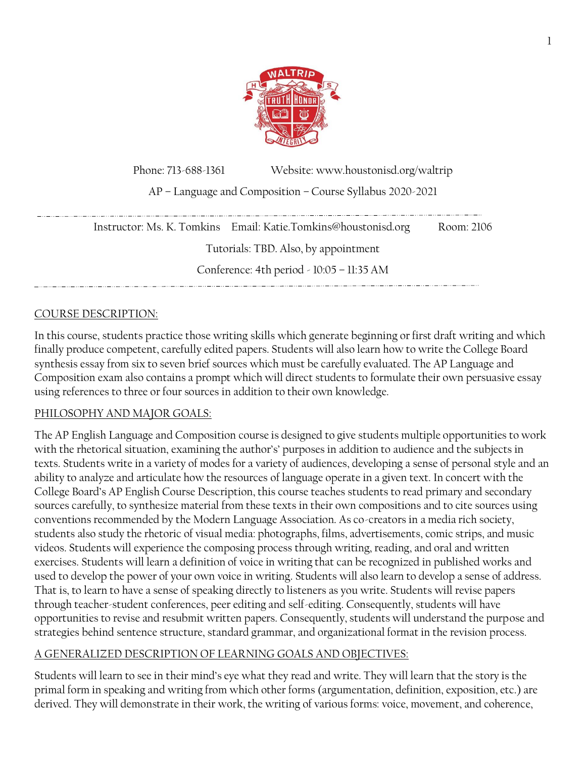

Phone: 713-688-1361 Website: www.houstonisd.org/waltrip AP – Language and Composition – Course Syllabus 2020-2021

|                                           | Instructor: Ms. K. Tomkins Email: Katie.Tomkins@houstonisd.org | Room: 2106 |
|-------------------------------------------|----------------------------------------------------------------|------------|
| Tutorials: TBD. Also, by appointment      |                                                                |            |
| Conference: 4th period - 10:05 - 11:35 AM |                                                                |            |
|                                           |                                                                |            |

## COURSE DESCRIPTION:

In this course, students practice those writing skills which generate beginning or first draft writing and which finally produce competent, carefully edited papers. Students will also learn how to write the College Board synthesis essay from six to seven brief sources which must be carefully evaluated. The AP Language and Composition exam also contains a prompt which will direct students to formulate their own persuasive essay using references to three or four sources in addition to their own knowledge.

### PHILOSOPHY AND MAJOR GOALS:

The AP English Language and Composition course is designed to give students multiple opportunities to work with the rhetorical situation, examining the author's' purposes in addition to audience and the subjects in texts. Students write in a variety of modes for a variety of audiences, developing a sense of personal style and an ability to analyze and articulate how the resources of language operate in a given text. In concert with the College Board's AP English Course Description, this course teaches students to read primary and secondary sources carefully, to synthesize material from these texts in their own compositions and to cite sources using conventions recommended by the Modern Language Association. As co-creators in a media rich society, students also study the rhetoric of visual media: photographs, films, advertisements, comic strips, and music videos. Students will experience the composing process through writing, reading, and oral and written exercises. Students will learn a definition of voice in writing that can be recognized in published works and used to develop the power of your own voice in writing. Students will also learn to develop a sense of address. That is, to learn to have a sense of speaking directly to listeners as you write. Students will revise papers through teacher-student conferences, peer editing and self-editing. Consequently, students will have opportunities to revise and resubmit written papers. Consequently, students will understand the purpose and strategies behind sentence structure, standard grammar, and organizational format in the revision process.

#### A GENERALIZED DESCRIPTION OF LEARNING GOALS AND OBJECTIVES:

Students will learn to see in their mind's eye what they read and write. They will learn that the story is the primal form in speaking and writing from which other forms (argumentation, definition, exposition, etc.) are derived. They will demonstrate in their work, the writing of various forms: voice, movement, and coherence,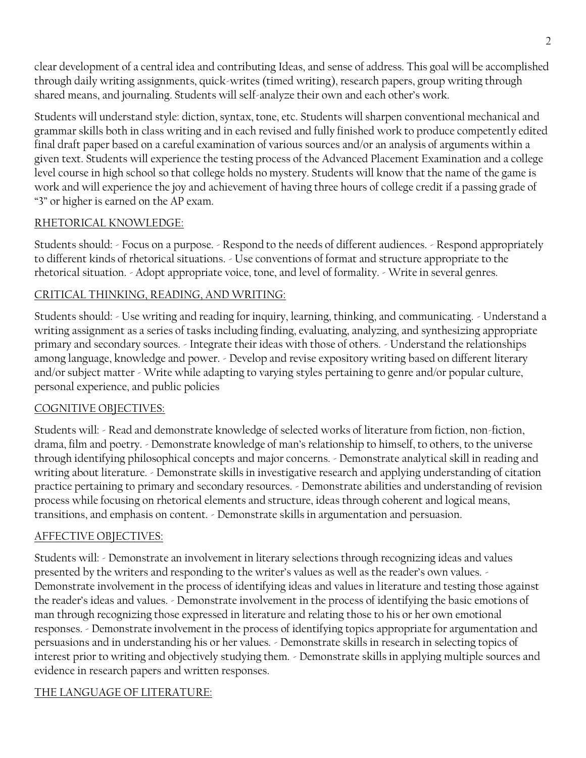clear development of a central idea and contributing Ideas, and sense of address. This goal will be accomplished through daily writing assignments, quick-writes (timed writing), research papers, group writing through shared means, and journaling. Students will self-analyze their own and each other's work.

Students will understand style: diction, syntax, tone, etc. Students will sharpen conventional mechanical and grammar skills both in class writing and in each revised and fully finished work to produce competently edited final draft paper based on a careful examination of various sources and/or an analysis of arguments within a given text. Students will experience the testing process of the Advanced Placement Examination and a college level course in high school so that college holds no mystery. Students will know that the name of the game is work and will experience the joy and achievement of having three hours of college credit if a passing grade of "3" or higher is earned on the AP exam.

### RHETORICAL KNOWLEDGE:

Students should: - Focus on a purpose. - Respond to the needs of different audiences. - Respond appropriately to different kinds of rhetorical situations. - Use conventions of format and structure appropriate to the rhetorical situation. - Adopt appropriate voice, tone, and level of formality. - Write in several genres.

## CRITICAL THINKING, READING, AND WRITING:

Students should: - Use writing and reading for inquiry, learning, thinking, and communicating. - Understand a writing assignment as a series of tasks including finding, evaluating, analyzing, and synthesizing appropriate primary and secondary sources. - Integrate their ideas with those of others. - Understand the relationships among language, knowledge and power. - Develop and revise expository writing based on different literary and/or subject matter - Write while adapting to varying styles pertaining to genre and/or popular culture, personal experience, and public policies

## COGNITIVE OBJECTIVES:

Students will: - Read and demonstrate knowledge of selected works of literature from fiction, non-fiction, drama, film and poetry. - Demonstrate knowledge of man's relationship to himself, to others, to the universe through identifying philosophical concepts and major concerns. - Demonstrate analytical skill in reading and writing about literature. - Demonstrate skills in investigative research and applying understanding of citation practice pertaining to primary and secondary resources. - Demonstrate abilities and understanding of revision process while focusing on rhetorical elements and structure, ideas through coherent and logical means, transitions, and emphasis on content. - Demonstrate skills in argumentation and persuasion.

## AFFECTIVE OBJECTIVES:

Students will: - Demonstrate an involvement in literary selections through recognizing ideas and values presented by the writers and responding to the writer's values as well as the reader's own values. - Demonstrate involvement in the process of identifying ideas and values in literature and testing those against the reader's ideas and values. - Demonstrate involvement in the process of identifying the basic emotions of man through recognizing those expressed in literature and relating those to his or her own emotional responses. - Demonstrate involvement in the process of identifying topics appropriate for argumentation and persuasions and in understanding his or her values. - Demonstrate skills in research in selecting topics of interest prior to writing and objectively studying them. - Demonstrate skills in applying multiple sources and evidence in research papers and written responses.

# THE LANGUAGE OF LITERATURE: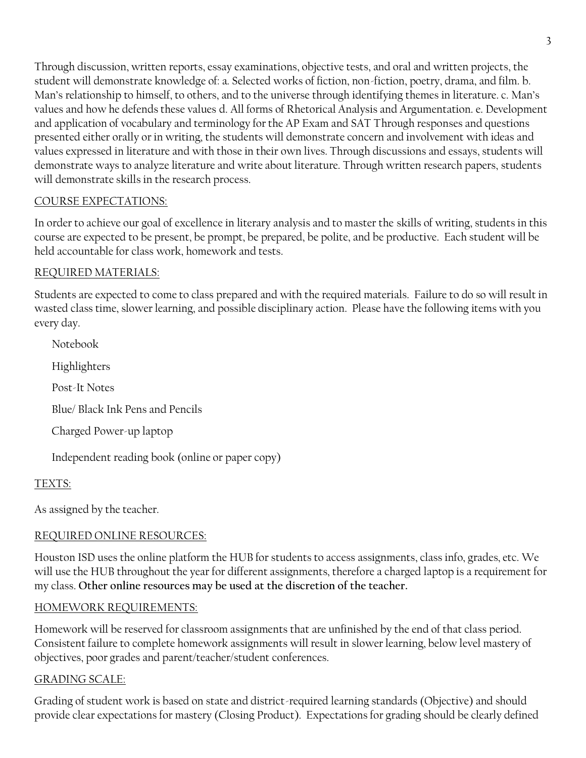Through discussion, written reports, essay examinations, objective tests, and oral and written projects, the student will demonstrate knowledge of: a. Selected works of fiction, non-fiction, poetry, drama, and film. b. Man's relationship to himself, to others, and to the universe through identifying themes in literature. c. Man's values and how he defends these values d. All forms of Rhetorical Analysis and Argumentation. e. Development and application of vocabulary and terminology for the AP Exam and SAT Through responses and questions presented either orally or in writing, the students will demonstrate concern and involvement with ideas and values expressed in literature and with those in their own lives. Through discussions and essays, students will demonstrate ways to analyze literature and write about literature. Through written research papers, students will demonstrate skills in the research process.

## COURSE EXPECTATIONS:

In order to achieve our goal of excellence in literary analysis and to master the skills of writing, students in this course are expected to be present, be prompt, be prepared, be polite, and be productive. Each student will be held accountable for class work, homework and tests.

## REQUIRED MATERIALS:

Students are expected to come to class prepared and with the required materials. Failure to do so will result in wasted class time, slower learning, and possible disciplinary action. Please have the following items with you every day.

Notebook Highlighters Post-It Notes Blue/ Black Ink Pens and Pencils Charged Power-up laptop Independent reading book (online or paper copy)

### TEXTS:

As assigned by the teacher.

## REQUIRED ONLINE RESOURCES:

Houston ISD uses the online platform the HUB for students to access assignments, class info, grades, etc. We will use the HUB throughout the year for different assignments, therefore a charged laptop is a requirement for my class. **Other online resources may be used at the discretion of the teacher.**

### HOMEWORK REQUIREMENTS:

Homework will be reserved for classroom assignments that are unfinished by the end of that class period. Consistent failure to complete homework assignments will result in slower learning, below level mastery of objectives, poor grades and parent/teacher/student conferences.

### GRADING SCALE:

Grading of student work is based on state and district-required learning standards (Objective) and should provide clear expectations for mastery (Closing Product). Expectations for grading should be clearly defined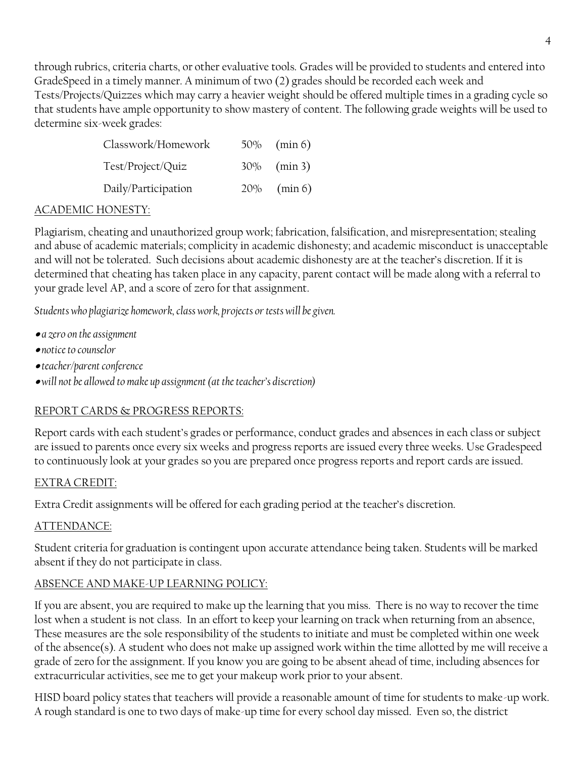through rubrics, criteria charts, or other evaluative tools. Grades will be provided to students and entered into GradeSpeed in a timely manner. A minimum of two (2) grades should be recorded each week and Tests/Projects/Quizzes which may carry a heavier weight should be offered multiple times in a grading cycle so that students have ample opportunity to show mastery of content. The following grade weights will be used to determine six-week grades:

| Classwork/Homework  | $50\%$ (min 6) |
|---------------------|----------------|
| Test/Project/Quiz   | $30\%$ (min 3) |
| Daily/Participation | $20\%$ (min 6) |

#### ACADEMIC HONESTY:

Plagiarism, cheating and unauthorized group work; fabrication, falsification, and misrepresentation; stealing and abuse of academic materials; complicity in academic dishonesty; and academic misconduct is unacceptable and will not be tolerated. Such decisions about academic dishonesty are at the teacher's discretion. If it is determined that cheating has taken place in any capacity, parent contact will be made along with a referral to your grade level AP, and a score of zero for that assignment.

*Students who plagiarize homework, class work, projects or tests will be given.*

- *a zero on the assignment*
- *notice to counselor*
- *teacher/parent conference*
- *will not be allowed to make up assignment (at the teacher's discretion)*

#### REPORT CARDS & PROGRESS REPORTS:

Report cards with each student's grades or performance, conduct grades and absences in each class or subject are issued to parents once every six weeks and progress reports are issued every three weeks. Use Gradespeed to continuously look at your grades so you are prepared once progress reports and report cards are issued.

#### EXTRA CREDIT:

Extra Credit assignments will be offered for each grading period at the teacher's discretion.

#### ATTENDANCE:

Student criteria for graduation is contingent upon accurate attendance being taken. Students will be marked absent if they do not participate in class.

### ABSENCE AND MAKE-UP LEARNING POLICY:

If you are absent, you are required to make up the learning that you miss. There is no way to recover the time lost when a student is not class. In an effort to keep your learning on track when returning from an absence, These measures are the sole responsibility of the students to initiate and must be completed within one week of the absence(s). A student who does not make up assigned work within the time allotted by me will receive a grade of zero for the assignment. If you know you are going to be absent ahead of time, including absences for extracurricular activities, see me to get your makeup work prior to your absent.

HISD board policy states that teachers will provide a reasonable amount of time for students to make-up work. A rough standard is one to two days of make-up time for every school day missed. Even so, the district